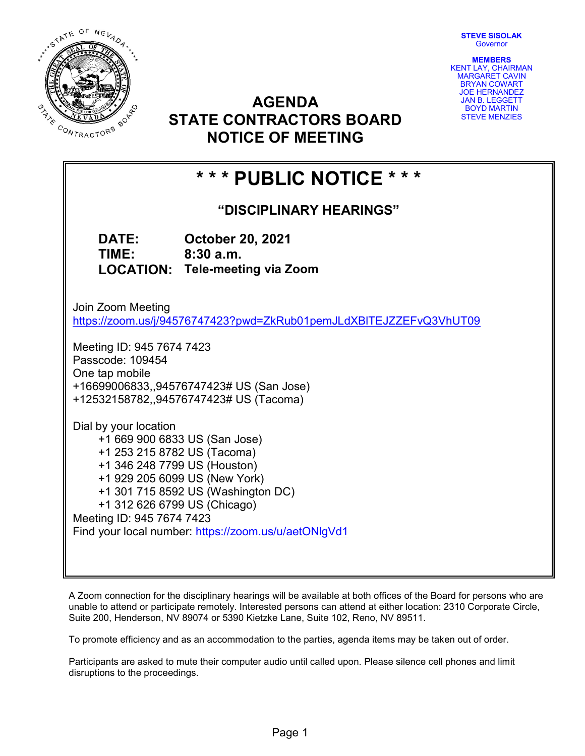STEVE SISOLAK **Governor** 



AGENDA STATE CONTRACTORS BOARD NOTICE OF MEETING

MEMBERS KENT LAY, CHAIRMAN MARGARET CAVIN BRYAN COWART JOE HERNANDEZ JAN B. LEGGETT BOYD MARTIN STEVE MENZIES

# \* \* \* PUBLIC NOTICE \* \* \*

"DISCIPLINARY HEARINGS"

DATE: October 20, 2021 TIME: 8:30 a.m. LOCATION: Tele-meeting via Zoom

Join Zoom Meeting https://zoom.us/j/94576747423?pwd=ZkRub01pemJLdXBlTEJZZEFvQ3VhUT09

Meeting ID: 945 7674 7423 Passcode: 109454 One tap mobile +16699006833,,94576747423# US (San Jose) +12532158782,,94576747423# US (Tacoma)

Dial by your location +1 669 900 6833 US (San Jose) +1 253 215 8782 US (Tacoma) +1 346 248 7799 US (Houston) +1 929 205 6099 US (New York) +1 301 715 8592 US (Washington DC) +1 312 626 6799 US (Chicago) Meeting ID: 945 7674 7423 Find your local number: https://zoom.us/u/aetONlgVd1

A Zoom connection for the disciplinary hearings will be available at both offices of the Board for persons who are unable to attend or participate remotely. Interested persons can attend at either location: 2310 Corporate Circle, Suite 200, Henderson, NV 89074 or 5390 Kietzke Lane, Suite 102, Reno, NV 89511.

To promote efficiency and as an accommodation to the parties, agenda items may be taken out of order.

Participants are asked to mute their computer audio until called upon. Please silence cell phones and limit disruptions to the proceedings.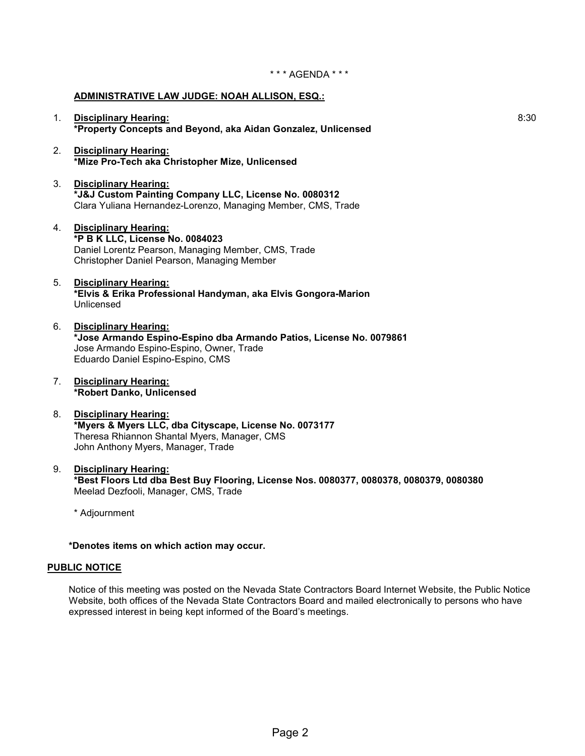### ADMINISTRATIVE LAW JUDGE: NOAH ALLISON, ESQ.:

- 1. Disciplinary Hearing: \*Property Concepts and Beyond, aka Aidan Gonzalez, Unlicensed
- 2. Disciplinary Hearing: \*Mize Pro-Tech aka Christopher Mize, Unlicensed
- 3. Disciplinary Hearing: \*J&J Custom Painting Company LLC, License No. 0080312 Clara Yuliana Hernandez-Lorenzo, Managing Member, CMS, Trade
- 4. Disciplinary Hearing: \*P B K LLC, License No. 0084023 Daniel Lorentz Pearson, Managing Member, CMS, Trade Christopher Daniel Pearson, Managing Member
- 5. Disciplinary Hearing: \*Elvis & Erika Professional Handyman, aka Elvis Gongora-Marion Unlicensed
- 6. Disciplinary Hearing: \*Jose Armando Espino-Espino dba Armando Patios, License No. 0079861 Jose Armando Espino-Espino, Owner, Trade Eduardo Daniel Espino-Espino, CMS
- 7. Disciplinary Hearing: \*Robert Danko, Unlicensed
- 8. Disciplinary Hearing: \*Myers & Myers LLC, dba Cityscape, License No. 0073177 Theresa Rhiannon Shantal Myers, Manager, CMS John Anthony Myers, Manager, Trade
- 9. Disciplinary Hearing: \*Best Floors Ltd dba Best Buy Flooring, License Nos. 0080377, 0080378, 0080379, 0080380 Meelad Dezfooli, Manager, CMS, Trade

\* Adjournment

### \*Denotes items on which action may occur.

#### PUBLIC NOTICE

Notice of this meeting was posted on the Nevada State Contractors Board Internet Website, the Public Notice Website, both offices of the Nevada State Contractors Board and mailed electronically to persons who have expressed interest in being kept informed of the Board's meetings.

8:30